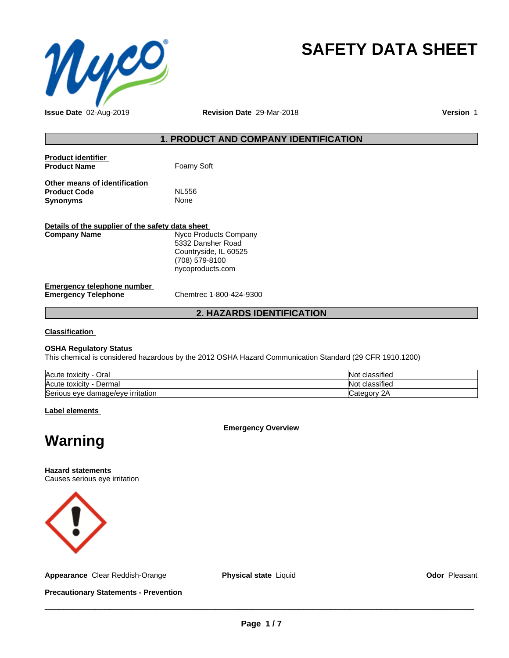

# **SAFETY DATA SHEET**

**Issue Date** 02-Aug-2019 **Revision Date** 29-Mar-2018 **Version** 1

# **1. PRODUCT AND COMPANY IDENTIFICATION**

| <b>Product identifier</b><br><b>Product Name</b>                        | Foamy Soft                                                                                                |
|-------------------------------------------------------------------------|-----------------------------------------------------------------------------------------------------------|
| Other means of identification<br><b>Product Code</b><br><b>Synonyms</b> | <b>NL556</b><br>None                                                                                      |
| Details of the supplier of the safety data sheet<br><b>Company Name</b> | Nyco Products Company<br>5332 Dansher Road<br>Countryside, IL 60525<br>(708) 579-8100<br>nycoproducts.com |
| Emergency telephone number                                              |                                                                                                           |

**Emergency Telephone** Chemtrec 1-800-424-9300

# **2. HAZARDS IDENTIFICATION**

**Classification**

## **OSHA Regulatory Status**

This chemical is considered hazardous by the 2012 OSHA Hazard Communication Standard (29 CFR 1910.1200)

| Acute toxicity<br>Oral            | $\cdots$<br><b>Not</b><br>classified |
|-----------------------------------|--------------------------------------|
| Acute toxicity<br>Dermal          | $\cdot$<br><b>Not</b><br>classified  |
| Serious eye damage/eye irritation | 2Α<br>∵ategorش                       |

**Label elements**

**Emergency Overview**

# **Warning**

**Hazard statements** Causes serious eye irritation



**Appearance** Clear Reddish-Orange **Physical state** Liquid **Constanting Constant Odor** Pleasant

**Precautionary Statements - Prevention**

 $\overline{\phantom{a}}$  ,  $\overline{\phantom{a}}$  ,  $\overline{\phantom{a}}$  ,  $\overline{\phantom{a}}$  ,  $\overline{\phantom{a}}$  ,  $\overline{\phantom{a}}$  ,  $\overline{\phantom{a}}$  ,  $\overline{\phantom{a}}$  ,  $\overline{\phantom{a}}$  ,  $\overline{\phantom{a}}$  ,  $\overline{\phantom{a}}$  ,  $\overline{\phantom{a}}$  ,  $\overline{\phantom{a}}$  ,  $\overline{\phantom{a}}$  ,  $\overline{\phantom{a}}$  ,  $\overline{\phantom{a}}$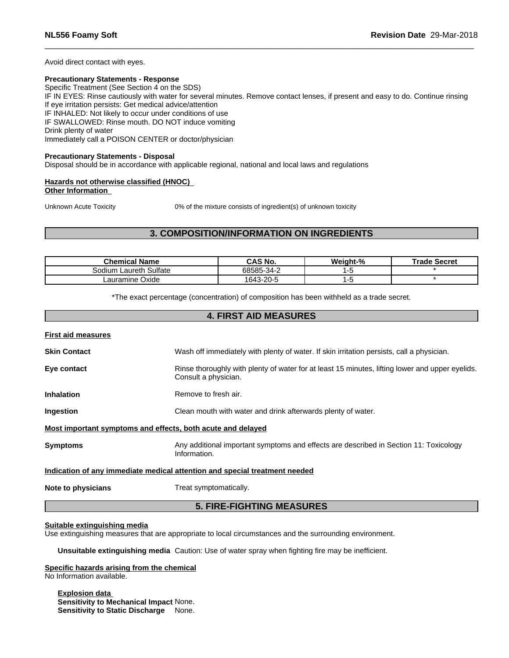Avoid direct contact with eyes.

# **Precautionary Statements - Response**

Specific Treatment (See Section 4 on the SDS) IF IN EYES: Rinse cautiously with water for several minutes. Remove contact lenses, if present and easy to do. Continue rinsing If eye irritation persists: Get medical advice/attention IF INHALED: Not likely to occur under conditions of use IF SWALLOWED: Rinse mouth. DO NOT induce vomiting Drink plenty of water Immediately call a POISON CENTER or doctor/physician

#### **Precautionary Statements - Disposal**

Disposal should be in accordance with applicable regional, national and local laws and regulations

#### **Hazards not otherwise classified (HNOC) Other Information**

Unknown Acute Toxicity 0% of the mixture consists of ingredient(s) of unknown toxicity

# **3. COMPOSITION/INFORMATION ON INGREDIENTS**

| Chemical Name             | <b>CAS No.</b> | Weight-% | Trade Secret |
|---------------------------|----------------|----------|--------------|
| Laureth Sulfate<br>odiumص | 68585-34-2     |          |              |
| Lauramine Oxide           | 1643-20-5      |          |              |

\*The exact percentage (concentration) of composition has been withheld as a trade secret.

# **4. FIRST AID MEASURES**

| <b>First aid measures</b>                                   |                                                                                                                         |
|-------------------------------------------------------------|-------------------------------------------------------------------------------------------------------------------------|
| <b>Skin Contact</b>                                         | Wash off immediately with plenty of water. If skin irritation persists, call a physician.                               |
| Eye contact                                                 | Rinse thoroughly with plenty of water for at least 15 minutes, lifting lower and upper eyelids.<br>Consult a physician. |
| <b>Inhalation</b>                                           | Remove to fresh air.                                                                                                    |
| Ingestion                                                   | Clean mouth with water and drink afterwards plenty of water.                                                            |
| Most important symptoms and effects, both acute and delayed |                                                                                                                         |
| <b>Symptoms</b>                                             | Any additional important symptoms and effects are described in Section 11: Toxicology<br>Information.                   |
|                                                             | Indication of any immediate medical attention and special treatment needed                                              |
| Note to physicians                                          | Treat symptomatically.                                                                                                  |
|                                                             | <b>5. FIRE-FIGHTING MEASURES</b>                                                                                        |

#### **Suitable extinguishing media**

Use extinguishing measures that are appropriate to local circumstances and the surrounding environment.

**Unsuitable extinguishing media** Caution: Use of water spray when fighting fire may be inefficient.

#### **Specific hazards arising from the chemical** No Information available.

**Explosion data Sensitivity to Mechanical Impact** None. **Sensitivity to Static Discharge** None.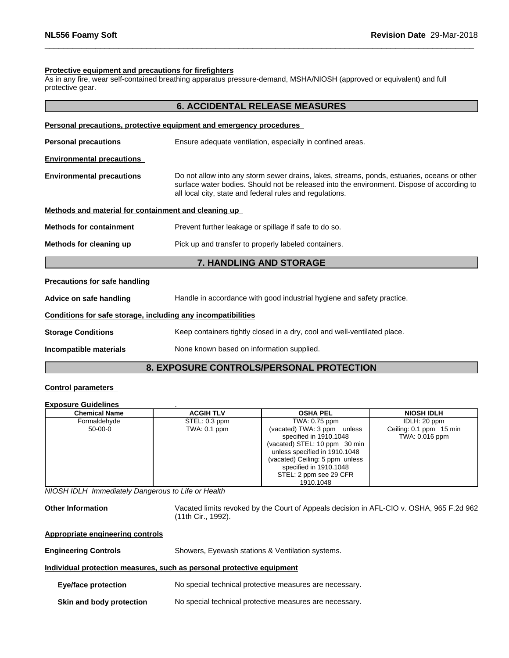#### **Protective equipment and precautions for firefighters**

As in any fire, wear self-contained breathing apparatus pressure-demand, MSHA/NIOSH (approved or equivalent) and full protective gear.

|                                                              | <b>6. ACCIDENTAL RELEASE MEASURES</b>                                                                                                                                                                                                                 |  |
|--------------------------------------------------------------|-------------------------------------------------------------------------------------------------------------------------------------------------------------------------------------------------------------------------------------------------------|--|
|                                                              | Personal precautions, protective equipment and emergency procedures                                                                                                                                                                                   |  |
| <b>Personal precautions</b>                                  | Ensure adequate ventilation, especially in confined areas.                                                                                                                                                                                            |  |
| <b>Environmental precautions</b>                             |                                                                                                                                                                                                                                                       |  |
| <b>Environmental precautions</b>                             | Do not allow into any storm sewer drains, lakes, streams, ponds, estuaries, oceans or other<br>surface water bodies. Should not be released into the environment. Dispose of according to<br>all local city, state and federal rules and regulations. |  |
| Methods and material for containment and cleaning up         |                                                                                                                                                                                                                                                       |  |
| <b>Methods for containment</b>                               | Prevent further leakage or spillage if safe to do so.                                                                                                                                                                                                 |  |
| Methods for cleaning up                                      | Pick up and transfer to properly labeled containers.                                                                                                                                                                                                  |  |
|                                                              | <b>7. HANDLING AND STORAGE</b>                                                                                                                                                                                                                        |  |
| <b>Precautions for safe handling</b>                         |                                                                                                                                                                                                                                                       |  |
| Advice on safe handling                                      | Handle in accordance with good industrial hygiene and safety practice.                                                                                                                                                                                |  |
| Conditions for safe storage, including any incompatibilities |                                                                                                                                                                                                                                                       |  |
| <b>Storage Conditions</b>                                    | Keep containers tightly closed in a dry, cool and well-ventilated place.                                                                                                                                                                              |  |
| Incompatible materials                                       | None known based on information supplied.                                                                                                                                                                                                             |  |
|                                                              | <b>8. EXPOSURE CONTROLS/PERSONAL PROTECTION</b>                                                                                                                                                                                                       |  |

#### **Control parameters**

#### **Exposure Guidelines** .

| <b>Chemical Name</b> | <b>ACGIH TLV</b> | <b>OSHA PEL</b>                 | <b>NIOSH IDLH</b>       |
|----------------------|------------------|---------------------------------|-------------------------|
| Formaldehyde         | STEL: 0.3 ppm    | TWA: 0.75 ppm                   | IDLH: 20 ppm            |
| 50-00-0              | TWA: 0.1 ppm     | (vacated) TWA: 3 ppm unless     | Ceiling: 0.1 ppm 15 min |
|                      |                  | specified in 1910.1048          | TWA: 0.016 ppm          |
|                      |                  | (vacated) STEL: 10 ppm 30 min   |                         |
|                      |                  | unless specified in 1910.1048   |                         |
|                      |                  | (vacated) Ceiling: 5 ppm unless |                         |
|                      |                  | specified in 1910.1048          |                         |
|                      |                  | STEL: 2 ppm see 29 CFR          |                         |
|                      |                  | 1910.1048                       |                         |

*NIOSH IDLH Immediately Dangerous to Life or Health*

**Other Information** Vacated limits revoked by the Court of Appeals decision in AFL-CIO v.OSHA, 965 F.2d 962 (11th Cir., 1992).

| <b>Appropriate engineering controls</b> |  |
|-----------------------------------------|--|
|                                         |  |

| <b>Engineering Controls</b> | Showers, Eyewash stations & Ventilation systems. |  |
|-----------------------------|--------------------------------------------------|--|
|-----------------------------|--------------------------------------------------|--|

## **Individual protection measures, such as personal protective equipment**

- **Eye/face protection** No special technical protective measures are necessary.
- **Skin and body protection** No special technical protective measures are necessary.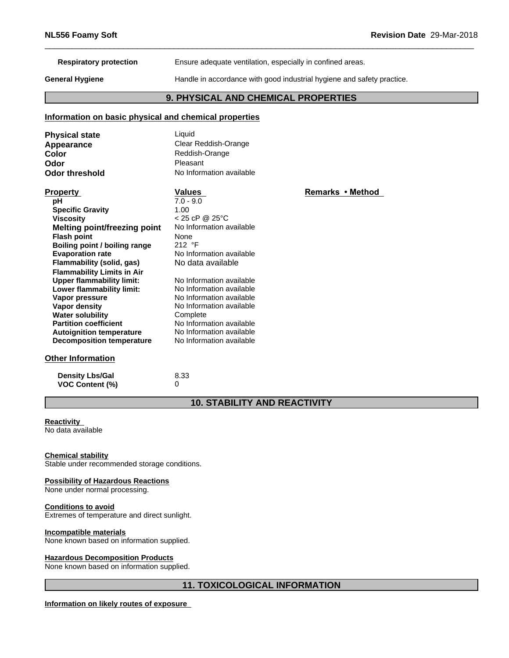**Respiratory protection** Ensure adequate ventilation, especially in confined areas.

**General Hygiene** Handle in accordance with good industrial hygiene and safety practice.

# **9. PHYSICAL AND CHEMICAL PROPERTIES**

# **Information on basic physical and chemical properties**

| <b>Physical state</b> | Liauid                   |
|-----------------------|--------------------------|
| Appearance            | Clear Reddish-Orange     |
| Color                 | Reddish-Orange           |
| Odor                  | Pleasant                 |
| <b>Odor threshold</b> | No Information available |

| <b>Property</b>                   | Values                   | Remarks • Method |
|-----------------------------------|--------------------------|------------------|
| рH                                | $7.0 - 9.0$              |                  |
| <b>Specific Gravity</b>           | 1.00                     |                  |
| <b>Viscosity</b>                  | $< 25$ cP @ 25°C         |                  |
| Melting point/freezing point      | No Information available |                  |
| <b>Flash point</b>                | None                     |                  |
| Boiling point / boiling range     | 212 $\degree$ F          |                  |
| <b>Evaporation rate</b>           | No Information available |                  |
| Flammability (solid, gas)         | No data available        |                  |
| <b>Flammability Limits in Air</b> |                          |                  |
| Upper flammability limit:         | No Information available |                  |
| Lower flammability limit:         | No Information available |                  |
| Vapor pressure                    | No Information available |                  |
| Vapor density                     | No Information available |                  |
| <b>Water solubility</b>           | Complete                 |                  |
| <b>Partition coefficient</b>      | No Information available |                  |
| <b>Autoignition temperature</b>   | No Information available |                  |
| Decomposition temperature         | No Information available |                  |
| <b>Other Information</b>          |                          |                  |

# **Density Lbs/Gal** 8.33 **VOC Content (%)** 0

**10. STABILITY AND REACTIVITY**

# **Reactivity**

No data available

## **Chemical stability**

Stable under recommended storage conditions.

## **Possibility of Hazardous Reactions**

None under normal processing.

#### **Conditions to avoid**

Extremes of temperature and direct sunlight.

#### **Incompatible materials**

None known based on information supplied.

#### **Hazardous Decomposition Products**

None known based on information supplied.

# **11. TOXICOLOGICAL INFORMATION**

# **Information on likely routes of exposure**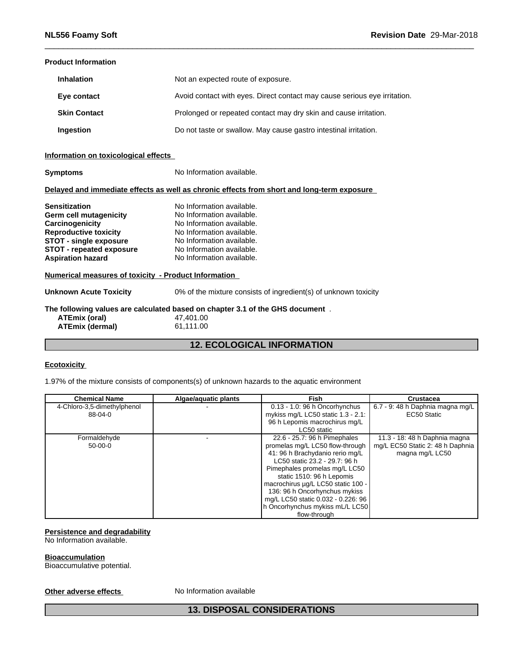## **Product Information**

| <b>Inhalation</b>   | Not an expected route of exposure.                                        |
|---------------------|---------------------------------------------------------------------------|
| Eye contact         | Avoid contact with eyes. Direct contact may cause serious eye irritation. |
| <b>Skin Contact</b> | Prolonged or repeated contact may dry skin and cause irritation.          |
| Ingestion           | Do not taste or swallow. May cause gastro intestinal irritation.          |

# **Information on toxicological effects**

| <b>Symptoms</b>                                      | No Information available.                                                                  |  |  |
|------------------------------------------------------|--------------------------------------------------------------------------------------------|--|--|
|                                                      | Delayed and immediate effects as well as chronic effects from short and long-term exposure |  |  |
| <b>Sensitization</b>                                 | No Information available.                                                                  |  |  |
| Germ cell mutagenicity                               | No Information available.                                                                  |  |  |
| Carcinogenicity                                      | No Information available.                                                                  |  |  |
| <b>Reproductive toxicity</b>                         | No Information available.                                                                  |  |  |
| <b>STOT - single exposure</b>                        | No Information available.                                                                  |  |  |
| <b>STOT - repeated exposure</b>                      | No Information available.                                                                  |  |  |
| <b>Aspiration hazard</b>                             | No Information available.                                                                  |  |  |
| Numerical measures of toxicity - Product Information |                                                                                            |  |  |
| <b>Unknown Acute Toxicity</b>                        | 0% of the mixture consists of ingredient(s) of unknown toxicity                            |  |  |
|                                                      | The following values are calculated based on chapter 3.1 of the GHS document.              |  |  |
| ATEmix (oral)                                        | 47,401.00                                                                                  |  |  |
| <b>ATEmix (dermal)</b>                               | 61,111.00                                                                                  |  |  |
|                                                      |                                                                                            |  |  |

# **12. ECOLOGICAL INFORMATION**

# **Ecotoxicity**

1.97% of the mixture consists of components(s) of unknown hazards to the aquatic environment

| <b>Chemical Name</b>        | Algae/aguatic plants | <b>Fish</b>                           | <b>Crustacea</b>                 |
|-----------------------------|----------------------|---------------------------------------|----------------------------------|
| 4-Chloro-3,5-dimethylphenol |                      | $0.13 - 1.0$ : 96 h Oncorhynchus      | 6.7 - 9: 48 h Daphnia magna mg/L |
| $88-04-0$                   |                      | mykiss mg/L LC50 static $1.3 - 2.1$ : | EC50 Static                      |
|                             |                      | 96 h Lepomis macrochirus mg/L         |                                  |
|                             |                      | LC50 static                           |                                  |
| Formaldehyde                |                      | 22.6 - 25.7: 96 h Pimephales          | 11.3 - 18: 48 h Daphnia magna    |
| $50-00-0$                   |                      | promelas mg/L LC50 flow-through       | mg/L EC50 Static 2: 48 h Daphnia |
|                             |                      | 41: 96 h Brachydanio rerio mg/L       | magna mg/L LC50                  |
|                             |                      | LC50 static 23.2 - 29.7: 96 h         |                                  |
|                             |                      | Pimephales promelas mg/L LC50         |                                  |
|                             |                      | static 1510: 96 h Lepomis             |                                  |
|                             |                      | macrochirus µg/L LC50 static 100 -    |                                  |
|                             |                      | 136: 96 h Oncorhynchus mykiss         |                                  |
|                             |                      | mg/L LC50 static 0.032 - 0.226: 96    |                                  |
|                             |                      | h Oncorhynchus mykiss mL/L LC50       |                                  |
|                             |                      | flow-through                          |                                  |

# **Persistence and degradability**

No Information available.

#### **Bioaccumulation**

Bioaccumulative potential.

## **Other adverse effects** No Information available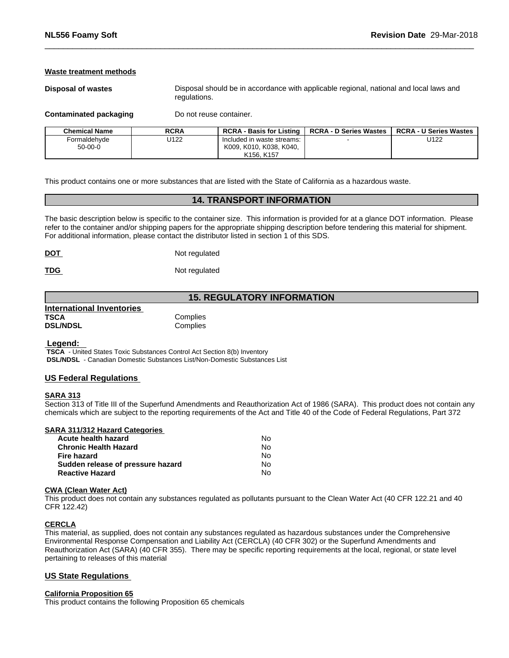#### **Waste treatment methods**

**Disposal of wastes** Disposal should be in accordance with applicable regional, national and local laws and regulations.

**Contaminated packaging** Do not reuse container.

| <b>Chemical Name</b> | <b>RCRA</b> | <b>RCRA - Basis for Listing</b>     | <b>RCRA - D Series Wastes</b> | <b>RCRA - U Series Wastes</b> |
|----------------------|-------------|-------------------------------------|-------------------------------|-------------------------------|
| Formaldehyde         | U122        | Included in waste streams:          |                               | U122                          |
| $50 - 00 - 0$        |             | , K010, K038, K040,<br>K009.        |                               |                               |
|                      |             | K <sub>156</sub> , K <sub>157</sub> |                               |                               |

This product contains one or more substances that are listed with the State of California as a hazardous waste.

# **14. TRANSPORT INFORMATION**

The basic description below is specific to the container size. This information is provided for at a glance DOT information. Please refer to the container and/or shipping papers for the appropriate shipping description before tendering this material for shipment. For additional information, please contact the distributor listed in section 1 of this SDS.

| <b>DOT</b> | Not regulated |  |
|------------|---------------|--|
|            |               |  |

**TDG** Not regulated

# **15. REGULATORY INFORMATION**

| International Inventories |          |  |
|---------------------------|----------|--|
| <b>TSCA</b>               | Complies |  |
| <b>DSL/NDSL</b>           | Complies |  |

 **Legend:** 

 **TSCA** - United States Toxic Substances Control Act Section 8(b) Inventory  **DSL/NDSL** - Canadian Domestic Substances List/Non-Domestic Substances List

# **US Federal Regulations**

#### **SARA 313**

Section 313 of Title III of the Superfund Amendments and Reauthorization Act of 1986 (SARA). This product does not contain any chemicals which are subject to the reporting requirements of the Act and Title 40 of the Code of Federal Regulations, Part 372

#### **SARA 311/312 Hazard Categories**

| Acute health hazard               | No. |  |
|-----------------------------------|-----|--|
| Chronic Health Hazard             | No. |  |
| Fire hazard                       | N٥  |  |
| Sudden release of pressure hazard | No. |  |
| <b>Reactive Hazard</b>            | N٥  |  |

#### **CWA (Clean WaterAct)**

This product does not contain any substances regulated as pollutants pursuant to the Clean Water Act (40 CFR 122.21 and 40 CFR 122.42)

#### **CERCLA**

This material, as supplied, does not contain any substances regulated as hazardous substances under the Comprehensive Environmental Response Compensation and Liability Act (CERCLA) (40 CFR 302) or the Superfund Amendments and Reauthorization Act (SARA) (40 CFR 355). There may be specific reporting requirements at the local, regional, or state level pertaining to releases of this material

# **US State Regulations**

#### **California Proposition 65**

This product contains the following Proposition 65 chemicals